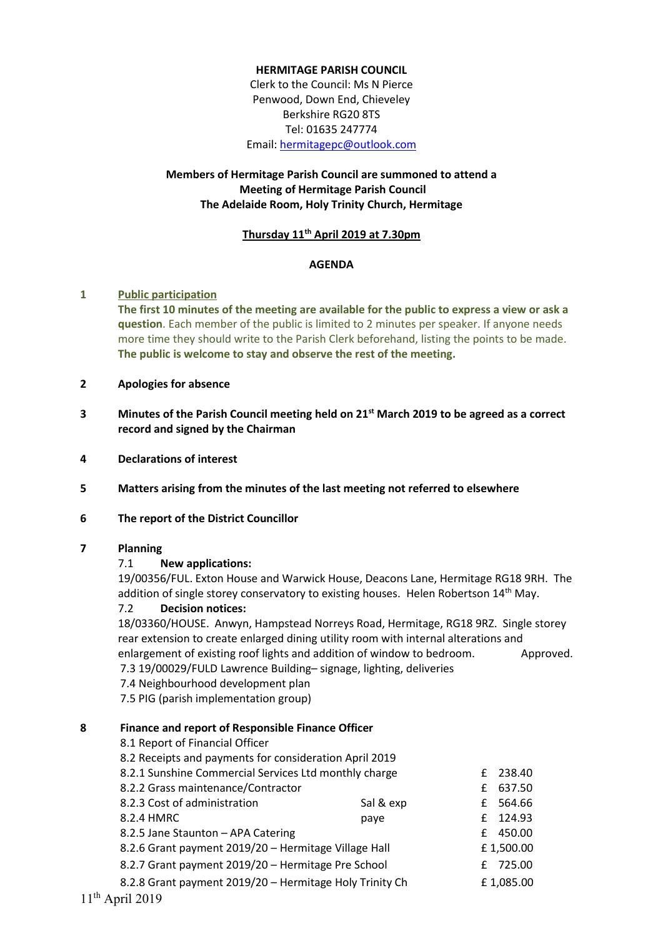#### **HERMITAGE PARISH COUNCIL**

Clerk to the Council: Ms N Pierce Penwood, Down End, Chieveley Berkshire RG20 8TS Tel: 01635 247774 Email: [hermitagepc@outlook.com](mailto:hermitagepc@outlook.com)

# **Members of Hermitage Parish Council are summoned to attend a Meeting of Hermitage Parish Council The Adelaide Room, Holy Trinity Church, Hermitage**

#### **Thursday 11th April 2019 at 7.30pm**

#### **AGENDA**

#### **1 Public participation**

**The first 10 minutes of the meeting are available for the public to express a view or ask a question**. Each member of the public is limited to 2 minutes per speaker. If anyone needs more time they should write to the Parish Clerk beforehand, listing the points to be made. **The public is welcome to stay and observe the rest of the meeting.**

#### **2 Apologies for absence**

- **3 Minutes of the Parish Council meeting held on 21st March 2019 to be agreed as a correct record and signed by the Chairman**
- **4 Declarations of interest**
- **5 Matters arising from the minutes of the last meeting not referred to elsewhere**
- **6 The report of the District Councillor**

### **7 Planning**

#### 7.1 **New applications:**

19/00356/FUL. Exton House and Warwick House, Deacons Lane, Hermitage RG18 9RH. The addition of single storey conservatory to existing houses. Helen Robertson 14<sup>th</sup> May.

### 7.2 **Decision notices:**

18/03360/HOUSE. Anwyn, Hampstead Norreys Road, Hermitage, RG18 9RZ. Single storey rear extension to create enlarged dining utility room with internal alterations and

enlargement of existing roof lights and addition of window to bedroom. Approved.

7.3 19/00029/FULD Lawrence Building– signage, lighting, deliveries

7.4 Neighbourhood development plan

7.5 PIG (parish implementation group)

#### **8 Finance and report of Responsible Finance Officer**

| 8.1 Report of Financial Officer                         |           |   |           |
|---------------------------------------------------------|-----------|---|-----------|
| 8.2 Receipts and payments for consideration April 2019  |           |   |           |
| 8.2.1 Sunshine Commercial Services Ltd monthly charge   |           |   | £ 238.40  |
| 8.2.2 Grass maintenance/Contractor                      |           | f | 637.50    |
| 8.2.3 Cost of administration                            | Sal & exp |   | £ 564.66  |
| 8.2.4 HMRC                                              | paye      |   | £ 124.93  |
| 8.2.5 Jane Staunton - APA Catering                      |           |   | £ 450.00  |
| 8.2.6 Grant payment 2019/20 - Hermitage Village Hall    |           |   | £1,500.00 |
| 8.2.7 Grant payment 2019/20 - Hermitage Pre School      |           |   | £ 725.00  |
| 8.2.8 Grant payment 2019/20 - Hermitage Holy Trinity Ch |           |   | £1,085.00 |
|                                                         |           |   |           |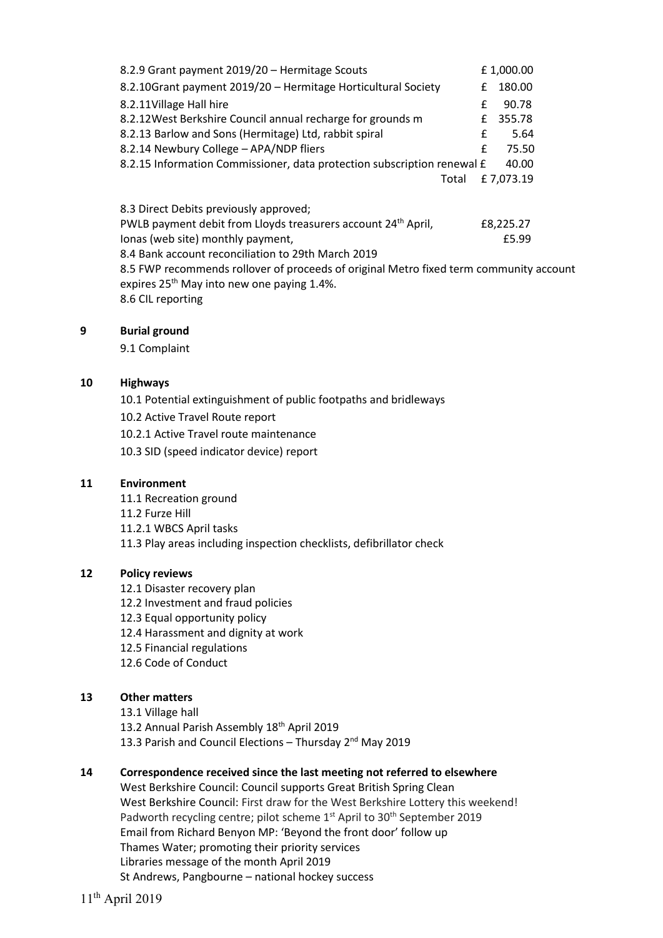| 8.2.9 Grant payment 2019/20 - Hermitage Scouts                                   |   | £1,000.00 |  |
|----------------------------------------------------------------------------------|---|-----------|--|
| 8.2.10Grant payment 2019/20 - Hermitage Horticultural Society                    | f | 180.00    |  |
| 8.2.11Village Hall hire                                                          | f | 90.78     |  |
| 8.2.12 West Berkshire Council annual recharge for grounds m                      | £ | 355.78    |  |
| 8.2.13 Barlow and Sons (Hermitage) Ltd, rabbit spiral                            | f | 5.64      |  |
| 8.2.14 Newbury College - APA/NDP fliers                                          | f | 75.50     |  |
| 8.2.15 Information Commissioner, data protection subscription renewal £<br>40.00 |   |           |  |
| Total                                                                            |   | £7,073.19 |  |
| 8.3 Direct Debits previously approved;                                           |   |           |  |
| PWLB payment debit from Lloyds treasurers account 24 <sup>th</sup> April,        |   | £8,225.27 |  |
| lonas (web site) monthly payment,                                                |   | £5.99     |  |

8.4 Bank account reconciliation to 29th March 2019 8.5 FWP recommends rollover of proceeds of original Metro fixed term community account expires 25<sup>th</sup> May into new one paying 1.4%. 8.6 CIL reporting

### **9 Burial ground**

9.1 Complaint

#### **10 Highways**

10.1 Potential extinguishment of public footpaths and bridleways

- 10.2 Active Travel Route report
- 10.2.1 Active Travel route maintenance
- 10.3 SID (speed indicator device) report

#### **11 Environment**

- 11.1 Recreation ground
- 11.2 Furze Hill
- 11.2.1 WBCS April tasks

11.3 Play areas including inspection checklists, defibrillator check

## **12 Policy reviews**

- 12.1 Disaster recovery plan
- 12.2 Investment and fraud policies
- 12.3 Equal opportunity policy
- 12.4 Harassment and dignity at work
- 12.5 Financial regulations
- 12.6 Code of Conduct

## **13 Other matters**

13.1 Village hall 13.2 Annual Parish Assembly 18<sup>th</sup> April 2019 13.3 Parish and Council Elections - Thursday 2<sup>nd</sup> May 2019

## **14 Correspondence received since the last meeting not referred to elsewhere**

West Berkshire Council: Council supports Great British Spring Clean West Berkshire Council: First draw for the West Berkshire Lottery this weekend! Padworth recycling centre; pilot scheme 1<sup>st</sup> April to 30<sup>th</sup> September 2019 Email from Richard Benyon MP: 'Beyond the front door' follow up Thames Water; promoting their priority services Libraries message of the month April 2019 St Andrews, Pangbourne – national hockey success